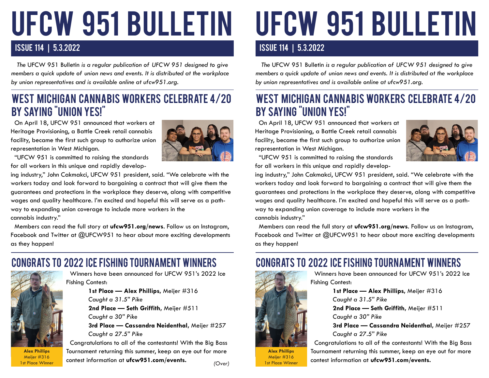# UFCW 951 BULLETIN

#### ISSUE 114 | 5.3.2022

 *The* UFCW 951 Bulletin *is a regular publication of UFCW 951 designed to give members a quick update of union news and events. It is distributed at the workplace by union representatives and is available online at ufcw951.org.* 

### West Michigan CanNabis Workers Celebrate 4/20 By Saying "Union Yes!"

 On April 18, UFCW 951 announced that workers at Heritage Provisioning, a Battle Creek retail cannabis facility, became the first such group to authorize union representation in West Michigan.

 "UFCW 951 is committed to raising the standards for all workers in this unique and rapidly develop-



ing industry," John Cakmakci, UFCW 951 president, said. "We celebrate with the workers today and look forward to bargaining a contract that will give them the guarantees and protections in the workplace they deserve, along with competitive wages and quality healthcare. I'm excited and hopeful this will serve as a pathway to expanding union coverage to include more workers in the cannabis industry."

 Members can read the full story at **ufcw951.org/news**. Follow us on Instagram, Facebook and Twitter at @UFCW951 to hear about more exciting developments as they happen!

# congrats to 2022 ice fishing tournament winners congrats to 2022 ice fishing tournament winners



**Alex Phillips** Meijer #316 1st Place Winner

 Winners have been announced for UFCW 951's 2022 Ice Fishing Contest:

> **1st Place — Alex Phillips,** Meijer #316 *Caught a 31.5" Pike* **2nd Place — Seth Griffith,** Meijer #511 *Caught a 30" Pike*

**3rd Place — Cassandra Neidenthal,** Meijer #257 *Caught a 27.5" Pike*

 Congratulations to all of the contestants! With the Big Bass Tournament returning this summer, keep an eye out for more contest information at **ufcw951.com/events.**